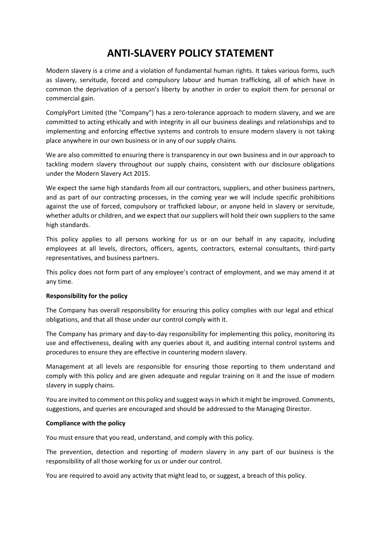# **ANTI-SLAVERY POLICY STATEMENT**

Modern slavery is a crime and a violation of fundamental human rights. It takes various forms, such as slavery, servitude, forced and compulsory labour and human trafficking, all of which have in common the deprivation of a person's liberty by another in order to exploit them for personal or commercial gain.

ComplyPort Limited (the "Company") has a zero-tolerance approach to modern slavery, and we are committed to acting ethically and with integrity in all our business dealings and relationships and to implementing and enforcing effective systems and controls to ensure modern slavery is not taking place anywhere in our own business or in any of our supply chains.

We are also committed to ensuring there is transparency in our own business and in our approach to tackling modern slavery throughout our supply chains, consistent with our disclosure obligations under the Modern Slavery Act 2015.

We expect the same high standards from all our contractors, suppliers, and other business partners, and as part of our contracting processes, in the coming year we will include specific prohibitions against the use of forced, compulsory or trafficked labour, or anyone held in slavery or servitude, whether adults or children, and we expect that our suppliers will hold their own suppliers to the same high standards.

This policy applies to all persons working for us or on our behalf in any capacity, including employees at all levels, directors, officers, agents, contractors, external consultants, third-party representatives, and business partners.

This policy does not form part of any employee's contract of employment, and we may amend it at any time.

### **Responsibility for the policy**

The Company has overall responsibility for ensuring this policy complies with our legal and ethical obligations, and that all those under our control comply with it.

The Company has primary and day-to-day responsibility for implementing this policy, monitoring its use and effectiveness, dealing with any queries about it, and auditing internal control systems and procedures to ensure they are effective in countering modern slavery.

Management at all levels are responsible for ensuring those reporting to them understand and comply with this policy and are given adequate and regular training on it and the issue of modern slavery in supply chains.

You are invited to comment on this policy and suggest ways in which it might be improved. Comments, suggestions, and queries are encouraged and should be addressed to the Managing Director.

### **Compliance with the policy**

You must ensure that you read, understand, and comply with this policy.

The prevention, detection and reporting of modern slavery in any part of our business is the responsibility of all those working for us or under our control.

You are required to avoid any activity that might lead to, or suggest, a breach of this policy.